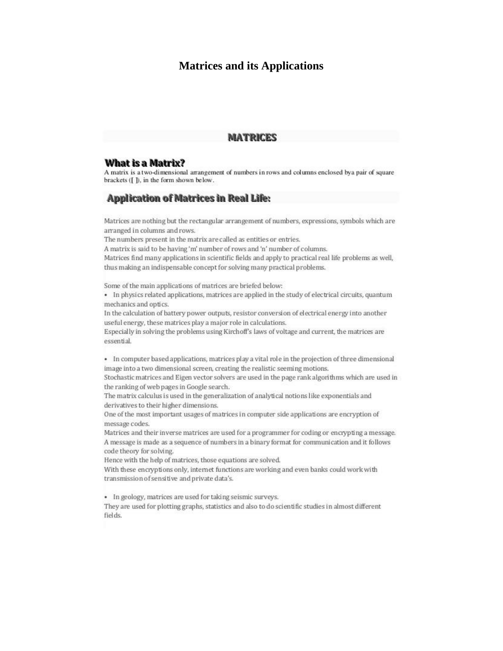## **Matrices and its Applications**

#### **MATRICES**

#### **What is a Matrix?**

A matrix is a two-dimensional arrangement of numbers in rows and columns enclosed bya pair of square brackets ([ ]), in the form shown below.

#### **Application of Matrices in Real Life:**

Matrices are nothing but the rectangular arrangement of numbers, expressions, symbols which are arranged in columns and rows.

The numbers present in the matrix are called as entities or entries.

A matrix is said to be having 'm' number of rows and 'n' number of columns.

Matrices find many applications in scientific fields and apply to practical real life problems as well, thus making an indispensable concept for solving many practical problems.

Some of the main applications of matrices are briefed below:

• In physics related applications, matrices are applied in the study of electrical circuits, quantum mechanics and optics.

In the calculation of battery power outputs, resistor conversion of electrical energy into another useful energy, these matrices play a major role in calculations.

Especially in solving the problems using Kirchoff's laws of voltage and current, the matrices are essential.

• In computer based applications, matrices play a vital role in the projection of three dimensional image into a two dimensional screen, creating the realistic seeming motions.

Stochastic matrices and Eigen vector solvers are used in the page rank algorithms which are used in the ranking of web pages in Google search.

The matrix calculus is used in the generalization of analytical notions like exponentials and derivatives to their higher dimensions.

One of the most important usages of matrices in computer side applications are encryption of message codes.

Matrices and their inverse matrices are used for a programmer for coding or encrypting a message. A message is made as a sequence of numbers in a binary format for communication and it follows code theory for solving.

Hence with the help of matrices, those equations are solved.

With these encryptions only, internet functions are working and even banks could work with transmission of sensitive and private data's.

• In geology, matrices are used for taking seismic surveys.

They are used for plotting graphs, statistics and also to do scientific studies in almost different fields.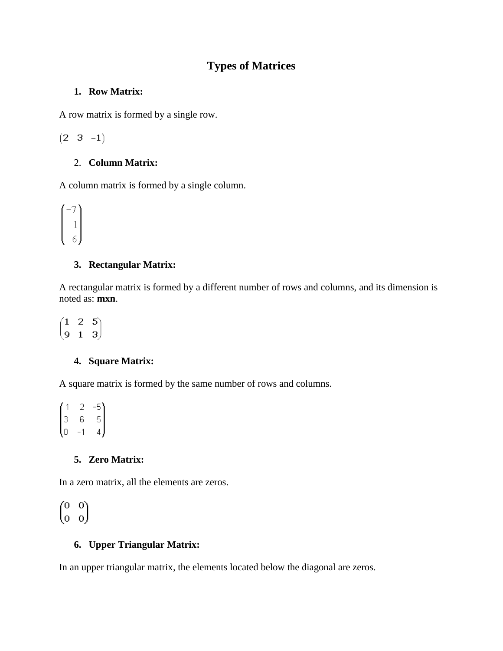# **Types of Matrices**

### **1. Row Matrix:**

A row matrix is formed by a single row.

 $(2 \ 3 \ -1)$ 

## 2. **Column Matrix:**

A column matrix is formed by a single column.

$$
\begin{pmatrix} -7 \\ 1 \\ 6 \end{pmatrix}
$$

### **3. Rectangular Matrix:**

A rectangular matrix is formed by a different number of rows and columns, and its dimension is noted as: **mxn**.

 $\begin{pmatrix} 1 & 2 & 5 \\ 9 & 1 & 3 \end{pmatrix}$ 

### **4. Square Matrix:**

A square matrix is formed by the same number of rows and columns.

 $\begin{pmatrix} 1 & 2 & -5 \\ 3 & 6 & 5 \\ 0 & -1 & 4 \end{pmatrix}$ 

### **5. Zero Matrix:**

In a zero matrix, all the elements are zeros.

 $\begin{pmatrix} 0 & 0 \\ 0 & 0 \end{pmatrix}$ 

### **6. Upper Triangular Matrix:**

In an upper triangular matrix, the elements located below the diagonal are zeros.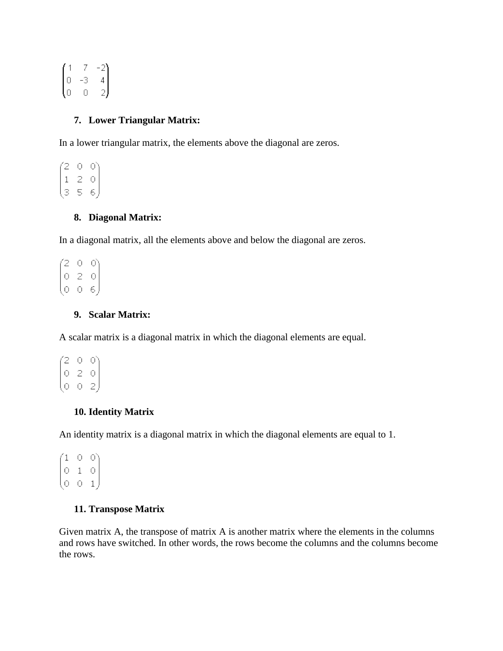|                                             | 7  |                                              |
|---------------------------------------------|----|----------------------------------------------|
| $\begin{pmatrix} 1 \\ 0 \\ 0 \end{pmatrix}$ | -3 |                                              |
|                                             | U  | $\begin{pmatrix} -2 \\ 4 \\ 2 \end{pmatrix}$ |

### **7. Lower Triangular Matrix:**

In a lower triangular matrix, the elements above the diagonal are zeros.

 $\begin{pmatrix} 2 & 0 & 0 \\ 1 & 2 & 0 \\ 3 & 5 & 6 \end{pmatrix}$ 

#### **8. Diagonal Matrix:**

In a diagonal matrix, all the elements above and below the diagonal are zeros.

 $\begin{pmatrix} 2 & 0 & 0 \\ 0 & 2 & 0 \\ 0 & 0 & 6 \end{pmatrix}$ 

#### **9. Scalar Matrix:**

A scalar matrix is a diagonal matrix in which the diagonal elements are equal.

 $\begin{pmatrix} 2 & 0 & 0 \\ 0 & 2 & 0 \\ 0 & 0 & 2 \end{pmatrix}$ 

#### **10. Identity Matrix**

An identity matrix is a diagonal matrix in which the diagonal elements are equal to 1.

7100)  $\begin{bmatrix} 1 & 0 & 0 \\ 0 & 1 & 0 \\ 0 & 0 & 1 \end{bmatrix}$ 

#### **11. Transpose Matrix**

Given matrix A, the transpose of matrix A is another matrix where the elements in the columns and rows have switched. In other words, the rows become the columns and the columns become the rows.